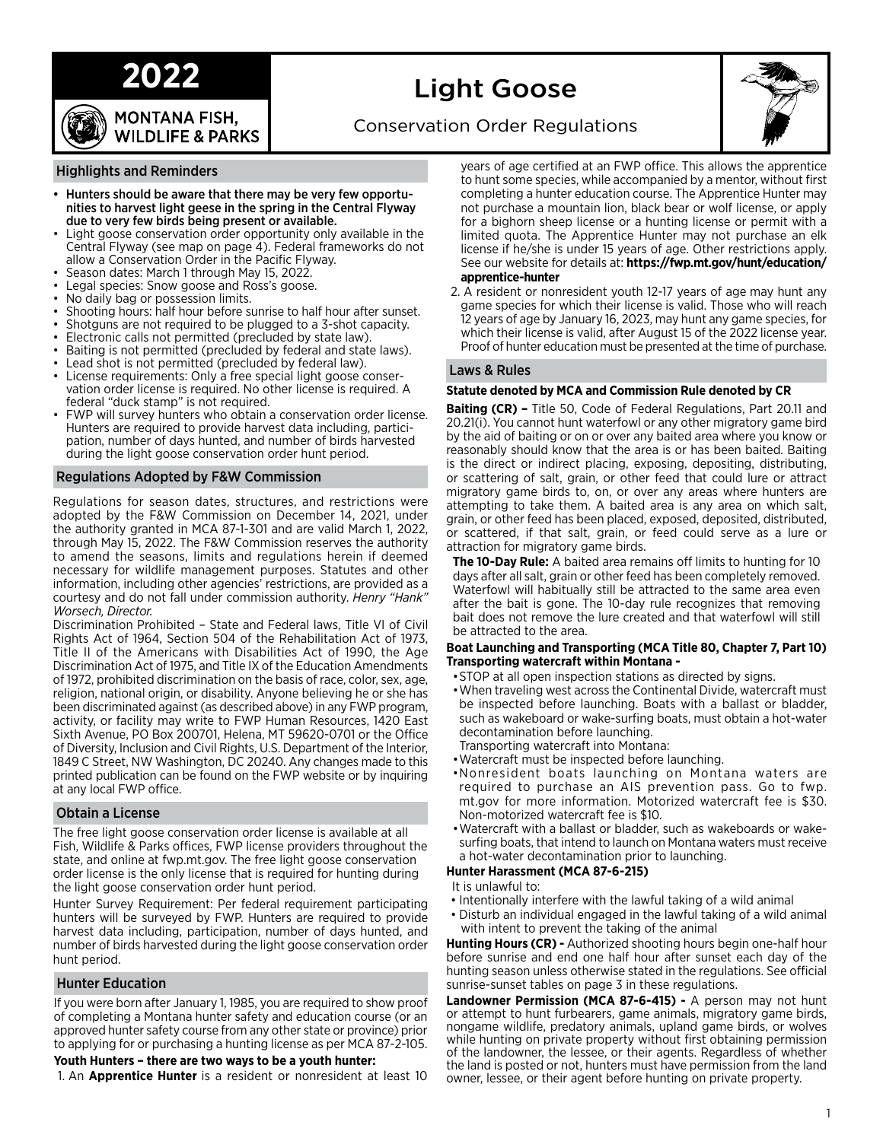# **2022**

**MONTANA FISH, WILDLIFE & PARKS** 

# Light Goose



Conservation Order Regulations

#### Highlights and Reminders

- Hunters should be aware that there may be very few opportunities to harvest light geese in the spring in the Central Flyway due to very few birds being present or available.
- Light goose conservation order opportunity only available in the Central Flyway (see map on page 4). Federal frameworks do not allow a Conservation Order in the Pacific Flyway.
- Season dates: March 1 through May 15, 2022.
- Legal species: Snow goose and Ross's goose.
- No daily bag or possession limits.
- Shooting hours: half hour before sunrise to half hour after sunset.
- Shotguns are not required to be plugged to a 3-shot capacity.
- Electronic calls not permitted (precluded by state law).
- Baiting is not permitted (precluded by federal and state laws).
- Lead shot is not permitted (precluded by federal law).
- License requirements: Only a free special light goose conservation order license is required. No other license is required. A federal "duck stamp" is not required.
- FWP will survey hunters who obtain a conservation order license. Hunters are required to provide harvest data including, participation, number of days hunted, and number of birds harvested during the light goose conservation order hunt period.

#### Regulations Adopted by F&W Commission

Regulations for season dates, structures, and restrictions were adopted by the F&W Commission on December 14, 2021, under the authority granted in MCA 87-1-301 and are valid March 1, 2022, through May 15, 2022. The F&W Commission reserves the authority to amend the seasons, limits and regulations herein if deemed necessary for wildlife management purposes. Statutes and other information, including other agencies' restrictions, are provided as a courtesy and do not fall under commission authority. *Henry "Hank" Worsech, Director.*

Discrimination Prohibited – State and Federal laws, Title VI of Civil Rights Act of 1964, Section 504 of the Rehabilitation Act of 1973, Title II of the Americans with Disabilities Act of 1990, the Age Discrimination Act of 1975, and Title IX of the Education Amendments of 1972, prohibited discrimination on the basis of race, color, sex, age, religion, national origin, or disability. Anyone believing he or she has been discriminated against (as described above) in any FWP program, activity, or facility may write to FWP Human Resources, 1420 East Sixth Avenue, PO Box 200701, Helena, MT 59620-0701 or the Office of Diversity, Inclusion and Civil Rights, U.S. Department of the Interior, 1849 C Street, NW Washington, DC 20240. Any changes made to this printed publication can be found on the FWP website or by inquiring at any local FWP office.

#### Obtain a License

The free light goose conservation order license is available at all Fish, Wildlife & Parks offices, FWP license providers throughout the state, and online at fwp.mt.gov. The free light goose conservation order license is the only license that is required for hunting during the light goose conservation order hunt period.

Hunter Survey Requirement: Per federal requirement participating hunters will be surveyed by FWP. Hunters are required to provide harvest data including, participation, number of days hunted, and number of birds harvested during the light goose conservation order hunt period.

#### Hunter Education

If you were born after January 1, 1985, you are required to show proof of completing a Montana hunter safety and education course (or an approved hunter safety course from any other state or province) prior to applying for or purchasing a hunting license as per MCA 87-2-105.

#### **Youth Hunters – there are two ways to be a youth hunter:**

1. An **Apprentice Hunter** is a resident or nonresident at least 10

years of age certified at an FWP office. This allows the apprentice to hunt some species, while accompanied by a mentor, without first completing a hunter education course. The Apprentice Hunter may not purchase a mountain lion, black bear or wolf license, or apply for a bighorn sheep license or a hunting license or permit with a limited quota. The Apprentice Hunter may not purchase an elk license if he/she is under 15 years of age. Other restrictions apply. See our website for details at: **https://fwp.mt.gov/hunt/education/ apprentice-hunter**

2. A resident or nonresident youth 12-17 years of age may hunt any game species for which their license is valid. Those who will reach 12 years of age by January 16, 2023, may hunt any game species, for which their license is valid, after August 15 of the 2022 license year. Proof of hunter education must be presented at the time of purchase.

#### Laws & Rules

#### **Statute denoted by MCA and Commission Rule denoted by CR**

**Baiting (CR) –** Title 50, Code of Federal Regulations, Part 20.11 and 20.21(i). You cannot hunt waterfowl or any other migratory game bird by the aid of baiting or on or over any baited area where you know or reasonably should know that the area is or has been baited. Baiting is the direct or indirect placing, exposing, depositing, distributing, or scattering of salt, grain, or other feed that could lure or attract migratory game birds to, on, or over any areas where hunters are attempting to take them. A baited area is any area on which salt, grain, or other feed has been placed, exposed, deposited, distributed, or scattered, if that salt, grain, or feed could serve as a lure or attraction for migratory game birds.

**The 10-Day Rule:** A baited area remains off limits to hunting for 10 days after all salt, grain or other feed has been completely removed. Waterfowl will habitually still be attracted to the same area even after the bait is gone. The 10-day rule recognizes that removing bait does not remove the lure created and that waterfowl will still be attracted to the area.

#### **Boat Launching and Transporting (MCA Title 80, Chapter 7, Part 10) Transporting watercraft within Montana -**

- •STOP at all open inspection stations as directed by signs.
- •When traveling west across the Continental Divide, watercraft must be inspected before launching. Boats with a ballast or bladder, such as wakeboard or wake-surfing boats, must obtain a hot-water decontamination before launching.
- Transporting watercraft into Montana:
- •Watercraft must be inspected before launching.
- •Nonresident boats launching on Montana waters are required to purchase an AIS prevention pass. Go to fwp. mt.gov for more information. Motorized watercraft fee is \$30. Non-motorized watercraft fee is \$10.
- •Watercraft with a ballast or bladder, such as wakeboards or wakesurfing boats, that intend to launch on Montana waters must receive a hot-water decontamination prior to launching.

#### **Hunter Harassment (MCA 87-6-215)**

- It is unlawful to:
- Intentionally interfere with the lawful taking of a wild animal
- Disturb an individual engaged in the lawful taking of a wild animal with intent to prevent the taking of the animal

**Hunting Hours (CR) -** Authorized shooting hours begin one-half hour before sunrise and end one half hour after sunset each day of the hunting season unless otherwise stated in the regulations. See official sunrise-sunset tables on page 3 in these regulations.

**Landowner Permission (MCA 87-6-415) -** A person may not hunt or attempt to hunt furbearers, game animals, migratory game birds, nongame wildlife, predatory animals, upland game birds, or wolves while hunting on private property without first obtaining permission of the landowner, the lessee, or their agents. Regardless of whether the land is posted or not, hunters must have permission from the land owner, lessee, or their agent before hunting on private property.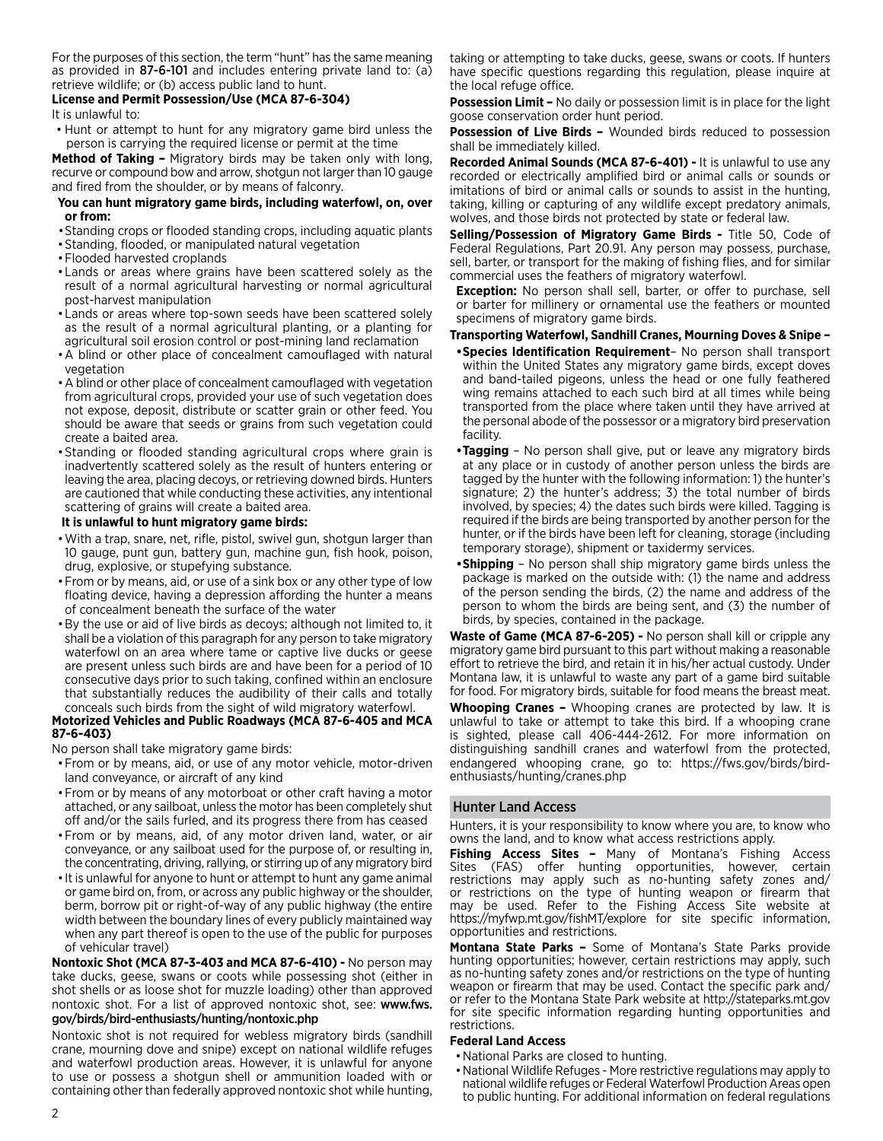For the purposes of this section, the term "hunt" has the same meaning as provided in 87-6-101 and includes entering private land to: (a) retrieve wildlife; or (b) access public land to hunt.

#### **License and Permit Possession/Use (MCA 87-6-304)**

It is unlawful to:

• Hunt or attempt to hunt for any migratory game bird unless the person is carrying the required license or permit at the time

**Method of Taking –** Migratory birds may be taken only with long, recurve or compound bow and arrow, shotgun not larger than 10 gauge and fired from the shoulder, or by means of falconry.

#### **You can hunt migratory game birds, including waterfowl, on, over or from:**

- •Standing crops or flooded standing crops, including aquatic plants
- •Standing, flooded, or manipulated natural vegetation
- •Flooded harvested croplands
- •Lands or areas where grains have been scattered solely as the result of a normal agricultural harvesting or normal agricultural post-harvest manipulation
- •Lands or areas where top-sown seeds have been scattered solely as the result of a normal agricultural planting, or a planting for agricultural soil erosion control or post-mining land reclamation
- •A blind or other place of concealment camouflaged with natural vegetation
- •A blind or other place of concealment camouflaged with vegetation from agricultural crops, provided your use of such vegetation does not expose, deposit, distribute or scatter grain or other feed. You should be aware that seeds or grains from such vegetation could create a baited area.
- •Standing or flooded standing agricultural crops where grain is inadvertently scattered solely as the result of hunters entering or leaving the area, placing decoys, or retrieving downed birds. Hunters are cautioned that while conducting these activities, any intentional scattering of grains will create a baited area.

#### **It is unlawful to hunt migratory game birds:**

- •With a trap, snare, net, rifle, pistol, swivel gun, shotgun larger than 10 gauge, punt gun, battery gun, machine gun, fish hook, poison, drug, explosive, or stupefying substance.
- •From or by means, aid, or use of a sink box or any other type of low floating device, having a depression affording the hunter a means of concealment beneath the surface of the water
- •By the use or aid of live birds as decoys; although not limited to, it shall be a violation of this paragraph for any person to take migratory waterfowl on an area where tame or captive live ducks or geese are present unless such birds are and have been for a period of 10 consecutive days prior to such taking, confined within an enclosure that substantially reduces the audibility of their calls and totally conceals such birds from the sight of wild migratory waterfowl.

#### **Motorized Vehicles and Public Roadways (MCA 87-6-405 and MCA 87-6-403)**

No person shall take migratory game birds:

- •From or by means, aid, or use of any motor vehicle, motor-driven land conveyance, or aircraft of any kind
- •From or by means of any motorboat or other craft having a motor attached, or any sailboat, unless the motor has been completely shut off and/or the sails furled, and its progress there from has ceased
- •From or by means, aid, of any motor driven land, water, or air conveyance, or any sailboat used for the purpose of, or resulting in, the concentrating, driving, rallying, or stirring up of any migratory bird
- It is unlawful for anyone to hunt or attempt to hunt any game animal or game bird on, from, or across any public highway or the shoulder, berm, borrow pit or right-of-way of any public highway (the entire width between the boundary lines of every publicly maintained way when any part thereof is open to the use of the public for purposes of vehicular travel)

**Nontoxic Shot (MCA 87-3-403 and MCA 87-6-410) -** No person may take ducks, geese, swans or coots while possessing shot (either in shot shells or as loose shot for muzzle loading) other than approved nontoxic shot. For a list of approved nontoxic shot, see: www.fws. gov/birds/bird-enthusiasts/hunting/nontoxic.php

Nontoxic shot is not required for webless migratory birds (sandhill crane, mourning dove and snipe) except on national wildlife refuges and waterfowl production areas. However, it is unlawful for anyone to use or possess a shotgun shell or ammunition loaded with or containing other than federally approved nontoxic shot while hunting, taking or attempting to take ducks, geese, swans or coots. If hunters have specific questions regarding this regulation, please inquire at the local refuge office.

**Possession Limit –** No daily or possession limit is in place for the light goose conservation order hunt period.

**Possession of Live Birds –** Wounded birds reduced to possession shall be immediately killed.

**Recorded Animal Sounds (MCA 87-6-401) -** It is unlawful to use any recorded or electrically amplified bird or animal calls or sounds or imitations of bird or animal calls or sounds to assist in the hunting, taking, killing or capturing of any wildlife except predatory animals, wolves, and those birds not protected by state or federal law.

**Selling/Possession of Migratory Game Birds -** Title 50, Code of Federal Regulations, Part 20.91. Any person may possess, purchase, sell, barter, or transport for the making of fishing flies, and for similar commercial uses the feathers of migratory waterfowl.

**Exception:** No person shall sell, barter, or offer to purchase, sell or barter for millinery or ornamental use the feathers or mounted specimens of migratory game birds.

**Transporting Waterfowl, Sandhill Cranes, Mourning Doves & Snipe –** 

- **•Species Identification Requirement** No person shall transport within the United States any migratory game birds, except doves and band-tailed pigeons, unless the head or one fully feathered wing remains attached to each such bird at all times while being transported from the place where taken until they have arrived at the personal abode of the possessor or a migratory bird preservation facility.
- **•Tagging** No person shall give, put or leave any migratory birds at any place or in custody of another person unless the birds are tagged by the hunter with the following information: 1) the hunter's signature; 2) the hunter's address; 3) the total number of birds involved, by species; 4) the dates such birds were killed. Tagging is required if the birds are being transported by another person for the hunter, or if the birds have been left for cleaning, storage (including temporary storage), shipment or taxidermy services.
- **•Shipping** No person shall ship migratory game birds unless the package is marked on the outside with: (1) the name and address of the person sending the birds, (2) the name and address of the person to whom the birds are being sent, and (3) the number of birds, by species, contained in the package.

**Waste of Game (MCA 87-6-205) -** No person shall kill or cripple any migratory game bird pursuant to this part without making a reasonable effort to retrieve the bird, and retain it in his/her actual custody. Under Montana law, it is unlawful to waste any part of a game bird suitable for food. For migratory birds, suitable for food means the breast meat.

**Whooping Cranes –** Whooping cranes are protected by law. It is unlawful to take or attempt to take this bird. If a whooping crane is sighted, please call 406-444-2612. For more information on distinguishing sandhill cranes and waterfowl from the protected, endangered whooping crane, go to: https://fws.gov/birds/birdenthusiasts/hunting/cranes.php

### Hunter Land Access

Hunters, it is your responsibility to know where you are, to know who owns the land, and to know what access restrictions apply.

**Fishing Access Sites –** Many of Montana's Fishing Access Sites (FAS) offer hunting opportunities, however, certain restrictions may apply such as no-hunting safety zones and/ or restrictions on the type of hunting weapon or firearm that may be used. Refer to the Fishing Access Site website at https://myfwp.mt.gov/fishMT/explore for site specific information, opportunities and restrictions.

**Montana State Parks –** Some of Montana's State Parks provide hunting opportunities; however, certain restrictions may apply, such as no-hunting safety zones and/or restrictions on the type of hunting weapon or firearm that may be used. Contact the specific park and/ or refer to the Montana State Park website at http://stateparks.mt.gov for site specific information regarding hunting opportunities and restrictions.

#### **Federal Land Access**

- •National Parks are closed to hunting.
- •National Wildlife Refuges More restrictive regulations may apply to national wildlife refuges or Federal Waterfowl Production Areas open to public hunting. For additional information on federal regulations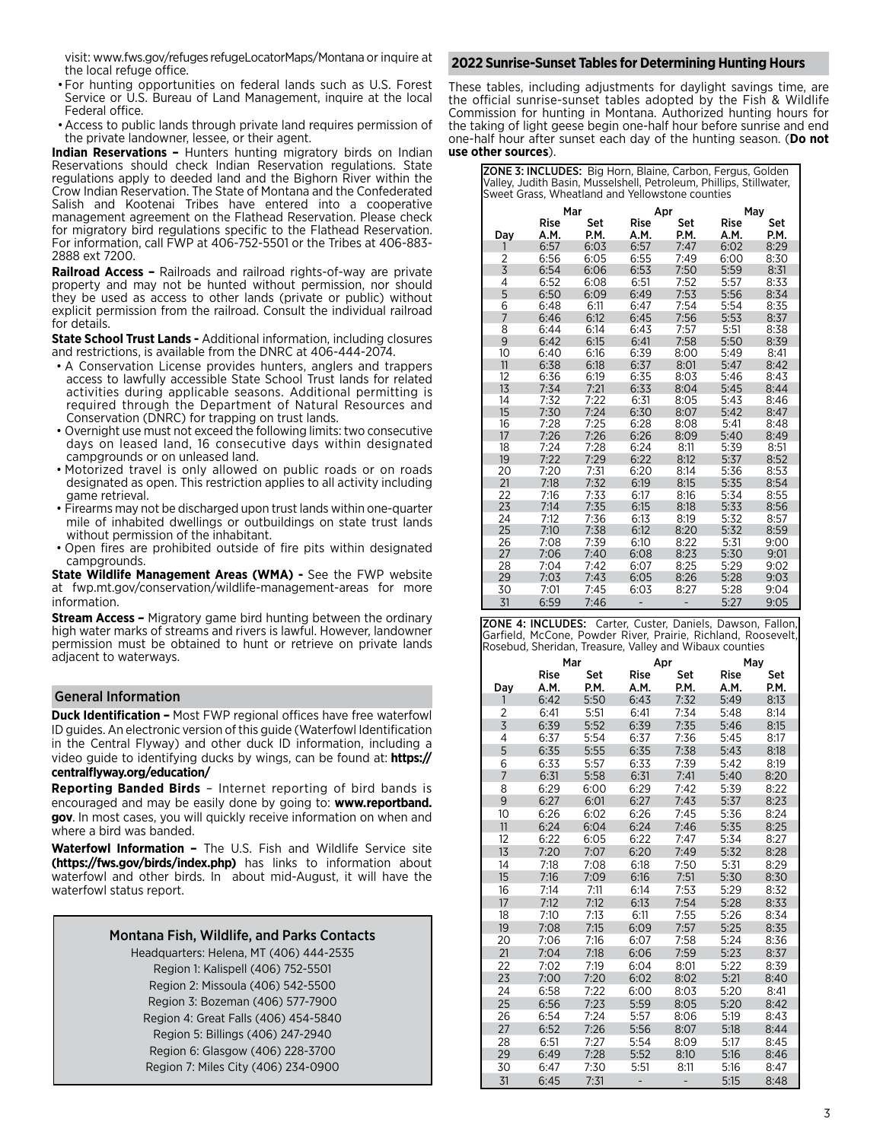visit: www.fws.gov/refuges refugeLocatorMaps/Montana orinquire at the local refuge office.

- •For hunting opportunities on federal lands such as U.S. Forest Service or U.S. Bureau of Land Management, inquire at the local Federal office.
- •Access to public lands through private land requires permission of the private landowner, lessee, or their agent.

**Indian Reservations –** Hunters hunting migratory birds on Indian Reservations should check Indian Reservation regulations. State regulations apply to deeded land and the Bighorn River within the Crow Indian Reservation. The State of Montana and the Confederated Salish and Kootenai Tribes have entered into a cooperative management agreement on the Flathead Reservation. Please check for migratory bird regulations specific to the Flathead Reservation. For information, call FWP at 406-752-5501 or the Tribes at 406-883- 2888 ext 7200.

**Railroad Access –** Railroads and railroad rights-of-way are private property and may not be hunted without permission, nor should they be used as access to other lands (private or public) without explicit permission from the railroad. Consult the individual railroad for details.

**State School Trust Lands -** Additional information, including closures and restrictions, is available from the DNRC at 406-444-2074.

- A Conservation License provides hunters, anglers and trappers access to lawfully accessible State School Trust lands for related activities during applicable seasons. Additional permitting is required through the Department of Natural Resources and Conservation (DNRC) for trapping on trust lands.
- Overnight use must not exceed the following limits: two consecutive days on leased land, 16 consecutive days within designated campgrounds or on unleased land.
- Motorized travel is only allowed on public roads or on roads designated as open. This restriction applies to all activity including game retrieval.
- Firearms may not be discharged upon trust lands within one-quarter mile of inhabited dwellings or outbuildings on state trust lands without permission of the inhabitant.
- Open fires are prohibited outside of fire pits within designated campgrounds.

**State Wildlife Management Areas (WMA) -** See the FWP website at fwp.mt.gov/conservation/wildlife-management-areas for more information.

**Stream Access –** Migratory game bird hunting between the ordinary high water marks of streams and rivers is lawful. However, landowner permission must be obtained to hunt or retrieve on private lands adjacent to waterways.

#### General Information

**Duck Identification –** Most FWP regional offices have free waterfowl ID guides. An electronic version of this guide (Waterfowl Identification in the Central Flyway) and other duck ID information, including a video guide to identifying ducks by wings, can be found at: **https:// centralflyway.org/education/**

**Reporting Banded Birds** – Internet reporting of bird bands is encouraged and may be easily done by going to: **www.reportband. gov**. In most cases, you will quickly receive information on when and where a bird was banded.

**Waterfowl Information –** The U.S. Fish and Wildlife Service site **(https://fws.gov/birds/index.php)** has links to information about waterfowl and other birds. In about mid-August, it will have the waterfowl status report.

| <b>Montana Fish, Wildlife, and Parks Contacts</b> |
|---------------------------------------------------|
| Headquarters: Helena, MT (406) 444-2535           |
| Region 1: Kalispell (406) 752-5501                |
| Region 2: Missoula (406) 542-5500                 |
| Region 3: Bozeman (406) 577-7900                  |
| Region 4: Great Falls (406) 454-5840              |
| Region 5: Billings (406) 247-2940                 |
| Region 6: Glasgow (406) 228-3700                  |
| Region 7: Miles City (406) 234-0900               |

#### **2022 Sunrise-Sunset Tables for Determining Hunting Hours**

These tables, including adjustments for daylight savings time, are the official sunrise-sunset tables adopted by the Fish & Wildlife Commission for hunting in Montana. Authorized hunting hours for the taking of light geese begin one-half hour before sunrise and end one-half hour after sunset each day of the hunting season. (**Do not use other sources**).

| ZONE 3: INCLUDES: Big Horn, Blaine, Carbon, Fergus, Golden          |
|---------------------------------------------------------------------|
| Valley, Judith Basin, Musselshell, Petroleum, Phillips, Stillwater, |
| <b>I</b> Sweet Grass, Wheatland and Yellowstone counties            |

|                | Mar          |             | Apr          |             | May          |             |
|----------------|--------------|-------------|--------------|-------------|--------------|-------------|
| Day            | Rise<br>A.M. | Set<br>P.M. | Rise<br>A.M. | Set<br>P.M. | Rise<br>A.M. | Set<br>P.M. |
| 1              | 6:57         | 6:03        | 6:57         | 7:47        | 6:02         | 8:29        |
| $\overline{2}$ | 6:56         | 6:05        | 6:55         | 7:49        | 6:00         | 8:30        |
| $\overline{3}$ | 6:54         | 6:06        | 6:53         | 7:50        | 5:59         | 8:31        |
| 4              | 6:52         | 6:08        | 6:51         | 7:52        | 5:57         | 8:33        |
| 5              | 6:50         | 6:09        | 6:49         | 7:53        | 5:56         | 8:34        |
| 6              | 6:48         | 6:11        | 6:47         | 7:54        | 5:54         | 8:35        |
| $\overline{7}$ | 6:46         | 6:12        | 6:45         | 7:56        | 5:53         | 8:37        |
| 8              | 6:44         | 6:14        | 6:43         | 7:57        | 5:51         | 8:38        |
| 9              | 6:42         | 6:15        | 6:41         | 7:58        | 5:50         | 8:39        |
| 10             | 6:40         | 6:16        | 6:39         | 8:00        | 5:49         | 8:41        |
| 11             | 6:38         | 6:18        | 6:37         | 8:01        | 5:47         | 8:42        |
| 12             | 6:36         | 6:19        | 6:35         | 8:03        | 5:46         | 8:43        |
| 13             | 7:34         | 7:21        | 6:33         | 8:04        | 5:45         | 8:44        |
| 14             | 7:32         | 7:22        | 6:31         | 8:05        | 5:43         | 8:46        |
| 15             | 7:30         | 7:24        | 6:30         | 8:07        | 5:42         | 8:47        |
| 16             | 7:28         | 7:25        | 6:28         | 8:08        | 5:41         | 8:48        |
| 17             | 7:26         | 7:26        | 6:26         | 8:09        | 5:40         | 8:49        |
| 18             | 7:24         | 7:28        | 6:24         | 8:11        | 5:39         | 8:51        |
| 19             | 7:22         | 7:29        | 6:22         | 8:12        | 5:37         | 8:52        |
| 20             | 7:20         | 7:31        | 6:20         | 8:14        | 5:36         | 8:53        |
| 21             | 7:18         | 7:32        | 6:19         | 8:15        | 5:35         | 8:54        |
| 22             | 7:16         | 7:33        | 6:17         | 8:16        | 5:34         | 8:55        |
| 23             | 7:14         | 7:35        | 6:15         | 8:18        | 5:33         | 8:56        |
| 24             | 7:12         | 7:36        | 6:13         | 8:19        | 5:32         | 8:57        |
| 25             | 7:10         | 7:38        | 6:12         | 8:20        | 5:32         | 8:59        |
| 26             | 7:08         | 7:39        | 6:10         | 8:22        | 5:31         | 9:00        |
| 27             | 7:06         | 7:40        | 6:08         | 8:23        | 5:30         | 9:01        |
| 28             | 7:04         | 7:42        | 6:07         | 8:25        | 5:29         | 9:02        |
| 29             | 7:03         | 7:43        | 6:05         | 8:26        | 5:28         | 9:03        |
| 30             | 7:01         | 7:45        | 6:03         | 8:27        | 5:28         | 9:04        |
| 31             | 6:59         | 7:46        |              |             | 5:27         | 9:05        |

ZONE 4: INCLUDES: Carter, Custer, Daniels, Dawson, Fallon, Garfield, McCone, Powder River, Prairie, Richland, Roosevelt, Rosebud, Sheridan, Treasure, Valley and Wibaux counties

|                | Mar          |             | Apr                 |             | May                 |             |
|----------------|--------------|-------------|---------------------|-------------|---------------------|-------------|
| Day            | Rise<br>A.M. | Set<br>P.M. | <b>Rise</b><br>A.M. | Set<br>P.M. | <b>Rise</b><br>A.M. | Set<br>P.M. |
| 1              | 6:42         | 5:50        | 6:43                | 7:32        | 5:49                | 8:13        |
| $\overline{2}$ | 6:41         | 5:51        | 6:41                | 7:34        | 5:48                | 8:14        |
| $\overline{3}$ | 6:39         | 5:52        | 6:39                | 7:35        | 5:46                | 8:15        |
| 4              | 6:37         | 5:54        | 6:37                | 7:36        | 5:45                | 8:17        |
| 5              | 6:35         | 5:55        | 6:35                | 7:38        | 5:43                | 8:18        |
| 6              | 6:33         | 5:57        | 6:33                | 7:39        | 5:42                | 8:19        |
| $\overline{7}$ | 6:31         | 5:58        | 6:31                | 7:41        | 5:40                | 8:20        |
| 8              | 6:29         | 6:00        | 6:29                | 7:42        | 5:39                | 8:22        |
| 9              | 6:27         | 6:01        | 6:27                | 7:43        | 5:37                | 8:23        |
| 10             | 6:26         | 6:02        | 6:26                | 7:45        | 5:36                | 8:24        |
| 11             | 6:24         | 6:04        | 6:24                | 7:46        | 5:35                | 8:25        |
| 12             | 6:22         | 6:05        | 6:22                | 7:47        | 5:34                | 8:27        |
| 13             | 7:20         | 7:07        | 6:20                | 7:49        | 5:32                | 8:28        |
| 14             | 7:18         | 7:08        | 6:18                | 7:50        | 5:31                | 8:29        |
| 15             | 7:16         | 7:09        | 6:16                | 7:51        | 5:30                | 8:30        |
| 16             | 7:14         | 7:11        | 6:14                | 7:53        | 5:29                | 8:32        |
| 17             | 7:12         | 7:12        | 6:13                | 7:54        | 5:28                | 8:33        |
| 18             | 7:10         | 7:13        | 6:11                | 7:55        | 5:26                | 8:34        |
| 19             | 7:08         | 7:15        | 6:09                | 7:57        | 5:25                | 8:35        |
| 20             | 7:06         | 7:16        | 6:07                | 7:58        | 5:24                | 8:36        |
| 21             | 7:04         | 7:18        | 6:06                | 7:59        | 5:23                | 8:37        |
| 22             | 7:02         | 7:19        | 6:04                | 8:01        | 5:22                | 8:39        |
| 23             | 7:00         | 7:20        | 6:02                | 8:02        | 5:21                | 8:40        |
| 24             | 6:58         | 7:22        | 6:00                | 8:03        | 5:20                | 8:41        |
| 25             | 6:56         | 7:23        | 5:59                | 8:05        | 5:20                | 8:42        |
| 26             | 6:54         | 7:24        | 5:57                | 8:06        | 5:19                | 8:43        |
| 27             | 6:52         | 7:26        | 5:56                | 8:07        | 5:18                | 8:44        |
| 28             | 6:51         | 7:27        | 5:54                | 8:09        | 5:17                | 8:45        |
| 29             | 6:49         | 7:28        | 5:52                | 8:10        | 5:16                | 8:46        |
| 30             | 6:47         | 7:30        | 5:51                | 8:11        | 5:16                | 8:47        |
| 31             | 6:45         | 7:31        |                     |             | 5:15                | 8:48        |